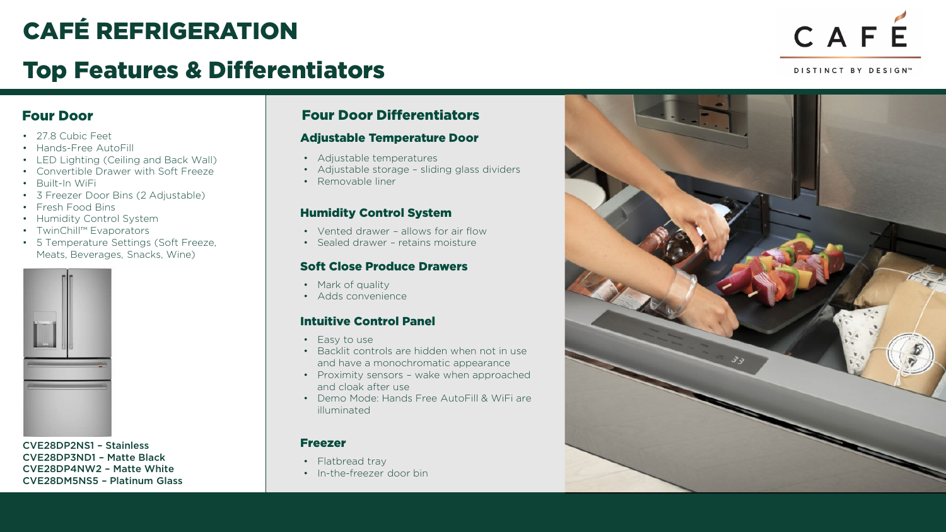## CAFÉ REFRIGERATION

## Top Features & Differentiators



DISTINCT BY DESIGN™

#### Four Door

- 27.8 Cubic Feet
- Hands-Free AutoFill
- LED Lighting (Ceiling and Back Wall)
- Convertible Drawer with Soft Freeze
- Built-In WiFi
- 3 Freezer Door Bins (2 Adjustable)
- Fresh Food Bins
- Humidity Control System
- TwinChill™ Evaporators
- 5 Temperature Settings (Soft Freeze, Meats, Beverages, Snacks, Wine)



CVE28DP2NS1 – Stainless CVE28DP3ND1 – Matte Black CVE28DP4NW2 – Matte White CVE28DM5NS5 – Platinum Glass

#### Four Door Differentiators

#### Adjustable Temperature Door

- Adjustable temperatures
- Adjustable storage sliding glass dividers
- Removable liner

#### Humidity Control System

- Vented drawer allows for air flow
- Sealed drawer retains moisture

#### Soft Close Produce Drawers

- Mark of quality
- Adds convenience

#### Intuitive Control Panel

- Easy to use
- Backlit controls are hidden when not in use and have a monochromatic appearance
- Proximity sensors wake when approached and cloak after use
- Demo Mode: Hands Free AutoFill & WiFi are illuminated

#### Freezer

- Flatbread tray
- In-the-freezer door bin

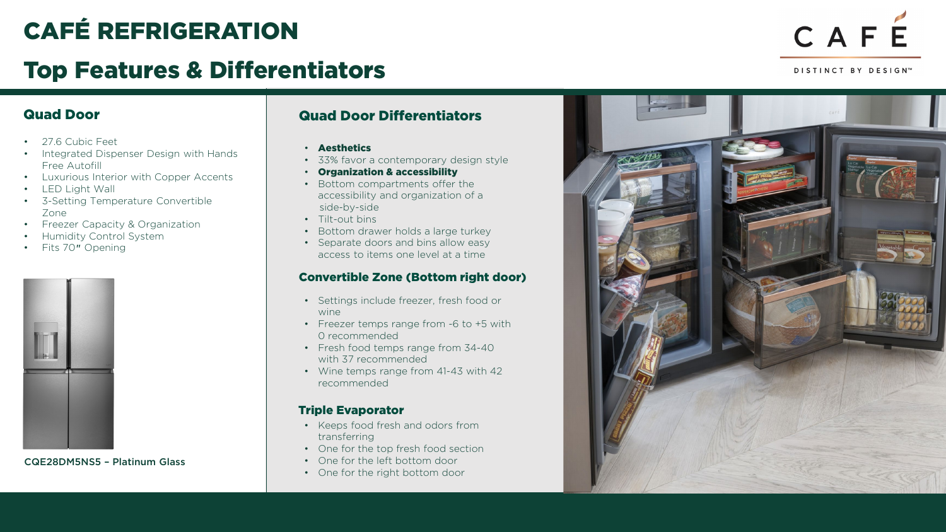## CAFÉ REFRIGERATION

## Top Features & Differentiators

# CAFE

DISTINCT BY DESIGN™

- 27.6 Cubic Feet
- Integrated Dispenser Design with Hands Free Autofill
- Luxurious Interior with Copper Accents
- LED Light Wall
- 3-Setting Temperature Convertible Zone
- Freezer Capacity & Organization
- Humidity Control System
- Fits 70" Opening



CQE28DM5NS5 – Platinum Glass

### Quad Door Quad Door Differentiators

- Aesthetics
- 33% favor a contemporary design style
- Organization & accessibility
- Bottom compartments offer the accessibility and organization of a side-by-side
- Tilt-out bins
- Bottom drawer holds a large turkey
- Separate doors and bins allow easy access to items one level at a time

#### Convertible Zone (Bottom right door)

- Settings include freezer, fresh food or wine
- Freezer temps range from -6 to +5 with 0 recommended
- Fresh food temps range from 34-40 with 37 recommended
- Wine temps range from 41-43 with 42 recommended

#### Triple Evaporator

- Keeps food fresh and odors from transferring
- One for the top fresh food section
- One for the left bottom door
- One for the right bottom door